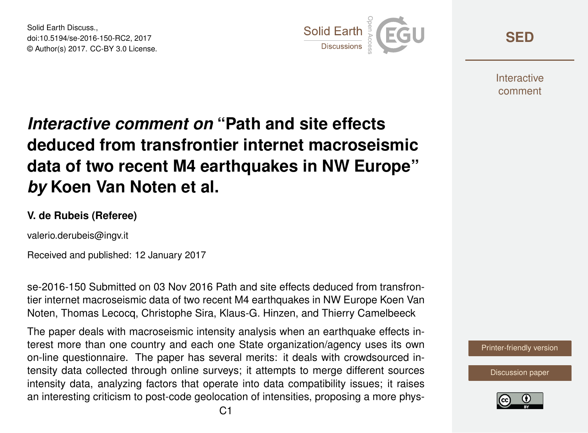Solid Earth Discuss., doi:10.5194/se-2016-150-RC2, 2017 © Author(s) 2017. CC-BY 3.0 License.



**[SED](http://www.solid-earth-discuss.net/)**

**Interactive** comment

## *Interactive comment on* **"Path and site effects deduced from transfrontier internet macroseismic data of two recent M4 earthquakes in NW Europe"** *by* **Koen Van Noten et al.**

## **V. de Rubeis (Referee)**

valerio.derubeis@ingv.it

Received and published: 12 January 2017

se-2016-150 Submitted on 03 Nov 2016 Path and site effects deduced from transfrontier internet macroseismic data of two recent M4 earthquakes in NW Europe Koen Van Noten, Thomas Lecocq, Christophe Sira, Klaus-G. Hinzen, and Thierry Camelbeeck

The paper deals with macroseismic intensity analysis when an earthquake effects interest more than one country and each one State organization/agency uses its own on-line questionnaire. The paper has several merits: it deals with crowdsourced intensity data collected through online surveys; it attempts to merge different sources intensity data, analyzing factors that operate into data compatibility issues; it raises an interesting criticism to post-code geolocation of intensities, proposing a more phys-

[Printer-friendly version](http://www.solid-earth-discuss.net/se-2016-150/se-2016-150-RC2-print.pdf)

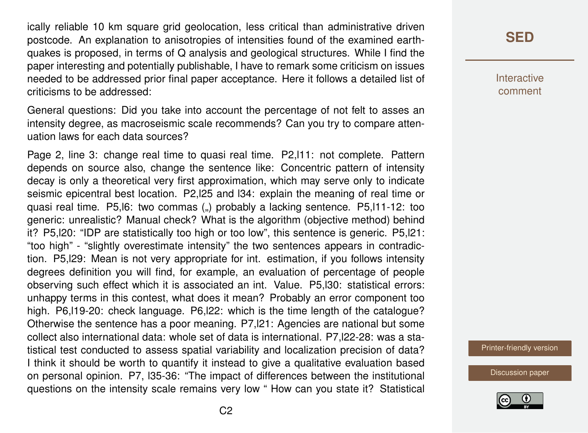ically reliable 10 km square grid geolocation, less critical than administrative driven postcode. An explanation to anisotropies of intensities found of the examined earthquakes is proposed, in terms of Q analysis and geological structures. While I find the paper interesting and potentially publishable, I have to remark some criticism on issues needed to be addressed prior final paper acceptance. Here it follows a detailed list of criticisms to be addressed:

General questions: Did you take into account the percentage of not felt to asses an intensity degree, as macroseismic scale recommends? Can you try to compare attenuation laws for each data sources?

Page 2, line 3: change real time to quasi real time. P2,l11: not complete. Pattern depends on source also, change the sentence like: Concentric pattern of intensity decay is only a theoretical very first approximation, which may serve only to indicate seismic epicentral best location. P2,l25 and l34: explain the meaning of real time or quasi real time. P5,l6: two commas (") probably a lacking sentence. P5,l11-12: too generic: unrealistic? Manual check? What is the algorithm (objective method) behind it? P5,l20: "IDP are statistically too high or too low", this sentence is generic. P5,l21: "too high" - "slightly overestimate intensity" the two sentences appears in contradiction. P5,l29: Mean is not very appropriate for int. estimation, if you follows intensity degrees definition you will find, for example, an evaluation of percentage of people observing such effect which it is associated an int. Value. P5,l30: statistical errors: unhappy terms in this contest, what does it mean? Probably an error component too high. P6,l19-20: check language. P6,l22: which is the time length of the catalogue? Otherwise the sentence has a poor meaning. P7,l21: Agencies are national but some collect also international data: whole set of data is international. P7,l22-28: was a statistical test conducted to assess spatial variability and localization precision of data? I think it should be worth to quantify it instead to give a qualitative evaluation based on personal opinion. P7, l35-36: "The impact of differences between the institutional questions on the intensity scale remains very low " How can you state it? Statistical **[SED](http://www.solid-earth-discuss.net/)**

**Interactive** comment

[Printer-friendly version](http://www.solid-earth-discuss.net/se-2016-150/se-2016-150-RC2-print.pdf)

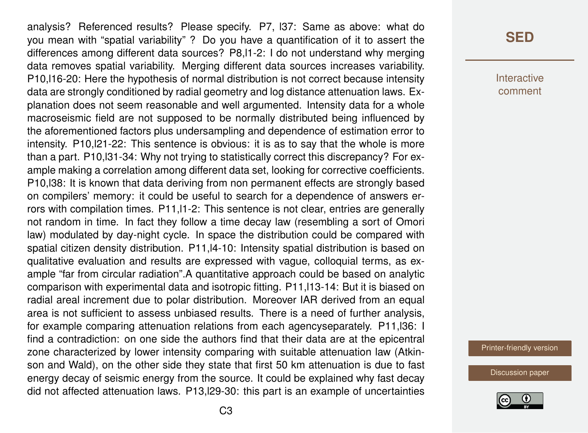analysis? Referenced results? Please specify. P7, l37: Same as above: what do you mean with "spatial variability" ? Do you have a quantification of it to assert the differences among different data sources? P8,l1-2: I do not understand why merging data removes spatial variability. Merging different data sources increases variability. P10,l16-20: Here the hypothesis of normal distribution is not correct because intensity data are strongly conditioned by radial geometry and log distance attenuation laws. Explanation does not seem reasonable and well argumented. Intensity data for a whole macroseismic field are not supposed to be normally distributed being influenced by the aforementioned factors plus undersampling and dependence of estimation error to intensity. P10,l21-22: This sentence is obvious: it is as to say that the whole is more than a part. P10,l31-34: Why not trying to statistically correct this discrepancy? For example making a correlation among different data set, looking for corrective coefficients. P10,l38: It is known that data deriving from non permanent effects are strongly based on compilers' memory: it could be useful to search for a dependence of answers errors with compilation times. P11,l1-2: This sentence is not clear, entries are generally not random in time. In fact they follow a time decay law (resembling a sort of Omori law) modulated by day-night cycle. In space the distribution could be compared with spatial citizen density distribution. P11,l4-10: Intensity spatial distribution is based on qualitative evaluation and results are expressed with vague, colloquial terms, as example "far from circular radiation".A quantitative approach could be based on analytic comparison with experimental data and isotropic fitting. P11,l13-14: But it is biased on radial areal increment due to polar distribution. Moreover IAR derived from an equal area is not sufficient to assess unbiased results. There is a need of further analysis, for example comparing attenuation relations from each agencyseparately. P11,l36: I find a contradiction: on one side the authors find that their data are at the epicentral zone characterized by lower intensity comparing with suitable attenuation law (Atkinson and Wald), on the other side they state that first 50 km attenuation is due to fast energy decay of seismic energy from the source. It could be explained why fast decay did not affected attenuation laws. P13,l29-30: this part is an example of uncertainties

Interactive comment

[Printer-friendly version](http://www.solid-earth-discuss.net/se-2016-150/se-2016-150-RC2-print.pdf)